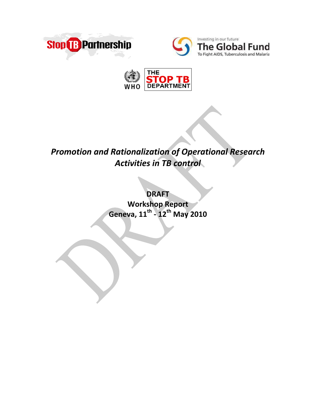





# *Promotion and Rationalization of Operational Research Activities in TB control*

**DRAFT Workshop Report Geneva, 11th ‐ 12th May 2010**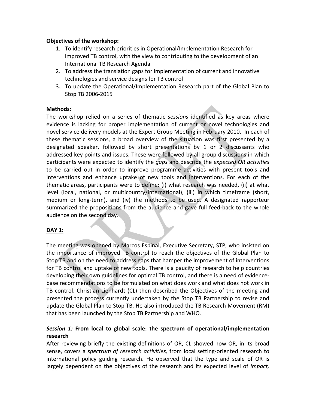## **Objectives of the workshop:**

- 1. To identify research priorities in Operational/Implementation Research for improved TB control, with the view to contributing to the development of an International TB Research Agenda
- 2. To address the translation gaps for implementation of current and innovative technologies and service designs for TB control
- 3. To update the Operational/Implementation Research part of the Global Plan to Stop TB 2006‐2015

## **Methods:**

The workshop relied on a series of thematic *sessions* identified as key areas where evidence is lacking for proper implementation of current or novel technologies and novel service delivery models at the Expert Group Meeting in February 2010. In each of these thematic sessions, a broad overview of the situation was first presented by a designated speaker, followed by short presentations by 1 or 2 discussants who addressed key points and issues. These were followed by all group discussions in which participants were expected to identify the *gaps* and describe the *expected OR activities* to be carried out in order to improve programme activities with present tools and interventions and enhance uptake of new tools and interventions. For each of the thematic areas, participants were to define: (i) what research was needed, (ii) at what level (local, national, or multicountry/international), (iii) in which timeframe (short, medium or long‐term), and (iv) the methods to be used. A designated rapporteur summarized the propositions from the audience and gave full feed‐back to the whole audience on the second day.

# **DAY 1:**

The meeting was opened by Marcos Espinal, Executive Secretary, STP, who insisted on the importance of improved TB control to reach the objectives of the Global Plan to Stop TB and on the need to address gaps that hamper the improvement of interventions for TB control and uptake of new tools. There is a paucity of research to help countries developing their own guidelines for optimal TB control, and there is a need of evidence‐ base recommendations to be formulated on what does work and what does not work in TB control. Christian Lienhardt (CL) then described the Objectives of the meeting and presented the process currently undertaken by the Stop TB Partnership to revise and update the Global Plan to Stop TB. He also introduced the TB Research Movement (RM) that has been launched by the Stop TB Partnership and WHO.

# *Session 1:* **From local to global scale: the spectrum of operational/implementation research**

After reviewing briefly the existing definitions of OR, CL showed how OR, in its broad sense, covers a *spectrum of research activities,* from local setting‐oriented research to international policy guiding research. He observed that the type and scale of OR is largely dependent on the objectives of the research and its expected level of *impact,*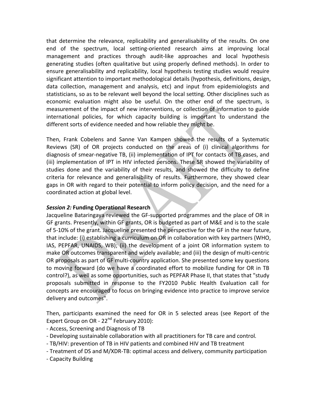that determine the relevance, replicability and generalisability of the results. On one end of the spectrum, local setting‐oriented research aims at improving local management and practices through audit‐like approaches and local hypothesis generating studies (often qualitative but using properly defined methods). In order to ensure generalisability and replicability, local hypothesis testing studies would require significant attention to important methodological details (hypothesis, definitions, design, data collection, management and analysis, etc) and input from epidemiologists and statisticians, so as to be relevant well beyond the local setting. Other disciplines such as economic evaluation might also be useful. On the other end of the spectrum, is measurement of the impact of new interventions, or collection of information to guide international policies, for which capacity building is important to understand the different sorts of evidence needed and how reliable they might be.

Then, Frank Cobelens and Sanne Van Kampen showed the results of a Systematic Reviews (SR) of OR projects conducted on the areas of (i) clinical algorithms for diagnosis of smear‐negative TB, (ii) implementation of IPT for contacts of TB cases, and (iii) implementation of IPT in HIV infected persons. These SR showed the variability of studies done and the variability of their results, and showed the difficulty to define criteria for relevance and generalisibility of results. Furthermore, they showed clear gaps in OR with regard to their potential to inform policy decision, and the need for a coordinated action at global level.

## *Session 2:* **Funding Operational Research**

Jacqueline Bataringaya reviewed the GF‐supported programmes and the place of OR in GF grants. Presently, within GF grants, OR is budgeted as part of M&E and is to the scale of 5‐10% of the grant. Jacqueline presented the perspective for the GF in the near future, that include: (i) establishing a curriculum on OR in collaboration with key partners (WHO, IAS, PEPFAR, UNAIDS, WB); (ii) the development of a joint OR information system to make OR outcomes transparent and widely available; and (iii) the design of multi‐centric OR proposals as part of GF multi‐country application. She presented some key questions to moving forward (do we have a coordinated effort to mobilize funding for OR in TB control?), as well as some opportunities, such as PEPFAR Phase II, that states that "study proposals submitted in response to the FY2010 Public Health Evaluation call for concepts are encouraged to focus on bringing evidence into practice to improve service delivery and outcomes".

Then, participants examined the need for OR in 5 selected areas (see Report of the Expert Group on OR - 22<sup>nd</sup> February 2010):

- ‐ Access, Screening and Diagnosis of TB
- ‐ Developing sustainable collaboration with all practitioners for TB care and control*.*
- ‐ TB/HIV: prevention of TB in HIV patients and combined HIV and TB treatment
- ‐ Treatment of DS and M/XDR‐TB: optimal access and delivery, community participation
- ‐ Capacity Building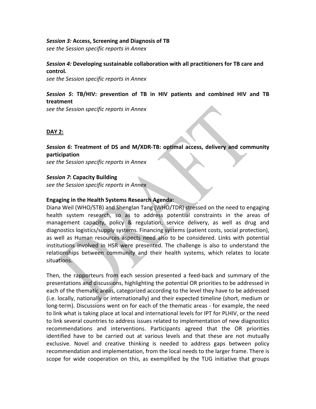#### *Session 3:* **Access, Screening and Diagnosis of TB**

*see the Session specific reports in Annex*

## *Session 4:* **Developing sustainable collaboration with all practitioners for TB care and control***.*

*see the Session specific reports in Annex*

## *Session 5***: TB/HIV: prevention of TB in HIV patients and combined HIV and TB treatment**

*see the Session specific reports in Annex*

## **DAY 2:**

#### *Session 6***: Treatment of DS and M/XDR‐TB: optimal access, delivery and community participation**

*see the Session specific reports in Annex*

#### *Session 7***: Capacity Building**

*see the Session specific reports in Annex*

#### **Engaging in the Health Systems Research Agenda:**

Diana Weil (WHO/STB) and Shenglan Tang (WHO/TDR) stressed on the need to engaging health system research, so as to address potential constraints in the areas of management capacity, policy & regulation, service delivery, as well as drug and diagnostics logistics/supply systems. Financing systems (patient costs, social protection), as well as Human resources aspects need also to be considered. Links with potential institutions involved in HSR were presented. The challenge is also to understand the relationships between community and their health systems, which relates to locate situations.

Then, the rapporteurs from each session presented a feed‐back and summary of the presentations and discussions, highlighting the potential OR priorities to be addressed in each of the thematic areas, categorized according to the level they have to be addressed (i.e. locally, nationally or internationally) and their expected timeline (short, medium or long-term). Discussions went on for each of the thematic areas - for example, the need to link what is taking place at local and international levels for IPT for PLHIV, or the need to link several countries to address issues related to implementation of new diagnostics recommendations and interventions. Participants agreed that the OR priorities identified have to be carried out at various levels and that these are not mutually exclusive. Novel and creative thinking is needed to address gaps between policy recommendation and implementation, from the local needs to the larger frame. There is scope for wide cooperation on this, as exemplified by the TUG initiative that groups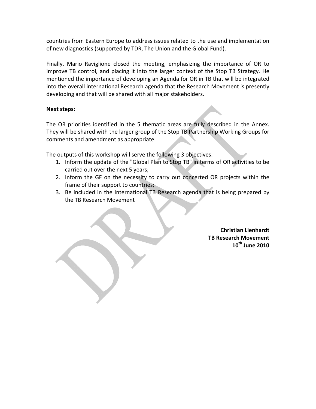countries from Eastern Europe to address issues related to the use and implementation of new diagnostics (supported by TDR, The Union and the Global Fund).

Finally, Mario Raviglione closed the meeting, emphasizing the importance of OR to improve TB control, and placing it into the larger context of the Stop TB Strategy. He mentioned the importance of developing an Agenda for OR in TB that will be integrated into the overall international Research agenda that the Research Movement is presently developing and that will be shared with all major stakeholders.

## **Next steps:**

The OR priorities identified in the 5 thematic areas are fully described in the Annex. They will be shared with the larger group of the Stop TB Partnership Working Groups for comments and amendment as appropriate.

The outputs of this workshop will serve the following 3 objectives:

- 1. Inform the update of the "Global Plan to Stop TB" in terms of OR activities to be carried out over the next 5 years;
- 2. Inform the GF on the necessity to carry out concerted OR projects within the frame of their support to countries;
- 3. Be included in the International TB Research agenda that is being prepared by the TB Research Movement

**Christian Lienhardt TB Research Movement 10th June 2010**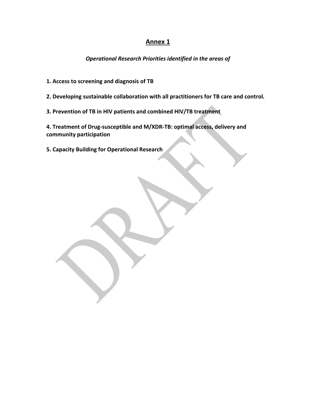# **Annex 1**

*Operational Research Priorities identified in the areas of* 

**1. Access to screening and diagnosis of TB**

**2. Developing sustainable collaboration with all practitioners for TB care and control***.*

**3. Prevention of TB in HIV patients and combined HIV/TB treatment**

**4. Treatment of Drug‐susceptible and M/XDR‐TB: optimal access, delivery and community participation**

**5. Capacity Building for Operational Research**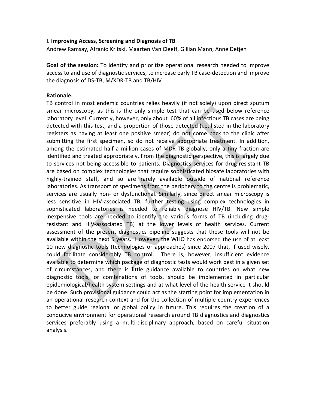#### **I. Improving Access, Screening and Diagnosis of TB**

Andrew Ramsay, Afranio Kritski, Maarten Van Cleeff, Gillian Mann, Anne Detjen

**Goal of the session:** To identify and prioritize operational research needed to improve access to and use of diagnostic services, to increase early TB case‐detection and improve the diagnosis of DS‐TB, M/XDR‐TB and TB/HIV

#### **Rationale:**

TB control in most endemic countries relies heavily (if not solely) upon direct sputum smear microscopy, as this is the only simple test that can be used below reference laboratory level. Currently, however, only about 60% of all infectious TB cases are being detected with this test, and a proportion of those detected (i.e. listed in the laboratory registers as having at least one positive smear) do not come back to the clinic after submitting the first specimen, so do not receive appropriate treatment. In addition, among the estimated half a million cases of MDR-TB globally, only a tiny fraction are identified and treated appropriately. From the diagnostic perspective, this is largely due to services not being accessible to patients. Diagnostics services for drug‐resistant TB are based on complex technologies that require sophisticated biosafe laboratories with highly-trained staff, and so are rarely available outside of national reference laboratories. As transport of specimens from the periphery to the centre is problematic, services are usually non- or dysfunctional. Similarly, since direct smear microscopy is less sensitive in HIV‐associated TB, further testing using complex technologies in sophisticated laboratories is needed to reliably diagnose HIV/TB. New simple inexpensive tools are needed to identify the various forms of TB (including drug‐ resistant and HIV‐associated TB) at the lower levels of health services. Current assessment of the present diagnostics pipeline suggests that these tools will not be available within the next 5 years. However, the WHO has endorsed the use of at least 10 new diagnostic tools (technologies or approaches) since 2007 that, if used wisely, could facilitate considerably TB control. There is, however, insufficient evidence available to determine which package of diagnostic tests would work best in a given set of circumstances, and there is little guidance available to countries on what new diagnostic tools, or combinations of tools, should be implemented in particular epidemiological/health system settings and at what level of the health service it should be done. Such provisional guidance could act as the starting point for implementation in an operational research context and for the collection of multiple country experiences to better guide regional or global policy in future. This requires the creation of a conducive environment for operational research around TB diagnostics and diagnostics services preferably using a multi‐disciplinary approach, based on careful situation analysis.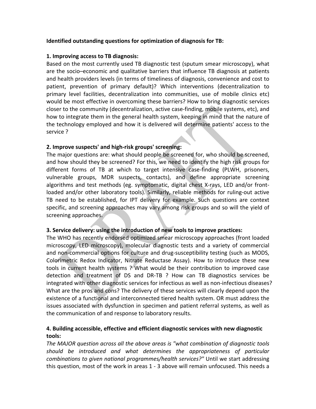## **Identified outstanding questions for optimization of diagnosis for TB:**

#### **1. Improving access to TB diagnosis:**

Based on the most currently used TB diagnostic test (sputum smear microscopy), what are the socio–economic and qualitative barriers that influence TB diagnosis at patients and health providers levels (in terms of timeliness of diagnosis, convenience and cost to patient, prevention of primary default)? Which interventions (decentralization to primary level facilities, decentralization into communities, use of mobile clinics etc) would be most effective in overcoming these barriers? How to bring diagnostic services closer to the community (decentralization, active case‐finding, mobile systems, etc), and how to integrate them in the general health system, keeping in mind that the nature of the technology employed and how it is delivered will determine patients' access to the service ?

## **2. Improve suspects' and high‐risk groups' screening:**

The major questions are: what should people be screened for, who should be screened, and how should they be screened? For this, we need to identify the high risk groups for different forms of TB at which to target intensive case‐finding (PLWH, prisoners, vulnerable groups, MDR suspects, contacts), and define appropriate screening algorithms and test methods (eg. symptomatic, digital chest X‐rays, LED and/or front‐ loaded and/or other laboratory tools). Similarly, reliable methods for ruling‐out active TB need to be established, for IPT delivery for example. Such questions are context specific, and screening approaches may vary among risk groups and so will the yield of screening approaches.

#### **3. Service delivery: using the introduction of new tools to improve practices:**

The WHO has recently endorsed optimized smear microscopy approaches (front loaded microscopy, LED microscopy), molecular diagnostic tests and a variety of commercial and non-commercial options for culture and drug-susceptibility testing (such as MODS, Colorimetric Redox Indicator, Nitrate Reductase Assay). How to introduce these new tools in current health systems ? What would be their contribution to improved case detection and treatment of DS and DR‐TB ? How can TB diagnostics services be integrated with other diagnostic services for infectious as well as non-infectious diseases? What are the pros and cons? The delivery of these services will clearly depend upon the existence of a functional and interconnected tiered health system. OR must address the issues associated with dysfunction in specimen and patient referral systems, as well as the communication of and response to laboratory results.

# **4. Building accessible, effective and efficient diagnostic services with new diagnostic tools:**

*The MAJOR question across all the above areas is "what combination of diagnostic tools should be introduced and what determines the appropriateness of particular combinations to given national programmes/health services?"* Until we start addressing this question, most of the work in areas 1 ‐ 3 above will remain unfocused. This needs a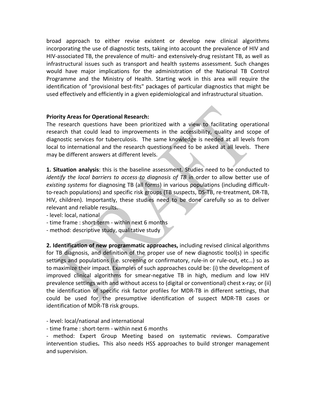broad approach to either revise existent or develop new clinical algorithms incorporating the use of diagnostic tests, taking into account the prevalence of HIV and HIV‐associated TB, the prevalence of multi‐ and extensively‐drug resistant TB, as well as infrastructural issues such as transport and health systems assessment. Such changes would have major implications for the administration of the National TB Control Programme and the Ministry of Health. Starting work in this area will require the identification of "provisional best‐fits" packages of particular diagnostics that might be used effectively and efficiently in a given epidemiological and infrastructural situation.

## **Priority Areas for Operational Research:**

The research questions have been prioritized with a view to facilitating operational research that could lead to improvements in the accessibility, quality and scope of diagnostic services for tuberculosis. The same knowledge is needed at all levels from local to international and the research questions need to be asked at all levels. There may be different answers at different levels.

**1. Situation analysis**: this is the baseline assessment. Studies need to be conducted to *identify the local barriers to access to diagnosis of TB* in order to allow better use of *existing systems* for diagnosing TB (all forms) in various populations (including difficult‐ to-reach populations) and specific risk groups (TB suspects, DS-TB, re-treatment, DR-TB, HIV, children). Importantly, these studies need to be done carefully so as to deliver relevant and reliable results.

‐ level: local, national

- ‐ time frame : short‐term ‐ within next 6 months
- ‐ method: descriptive study, qualitative study

**2. Identification of new programmatic approaches,** including revised clinical algorithms for TB diagnosis, and definition of the proper use of new diagnostic tool(s) in specific settings and populations (i.e. screening or confirmatory, rule-in or rule-out, etc...) so as to maximize their impact. Examples of such approaches could be: (i) the development of improved clinical algorithms for smear‐negative TB in high, medium and low HIV prevalence settings with and without access to (digital or conventional) chest x‐ray; or (ii) the identification of specific risk factor profiles for MDR‐TB in different settings, that could be used for the presumptive identification of suspect MDR‐TB cases or identification of MDR‐TB risk groups.

‐ level: local/national and international

‐ time frame : short‐term ‐ within next 6 months

‐ method: Expert Group Meeting based on systematic reviews. Comparative intervention studies**.** This also needs HSS approaches to build stronger management and supervision.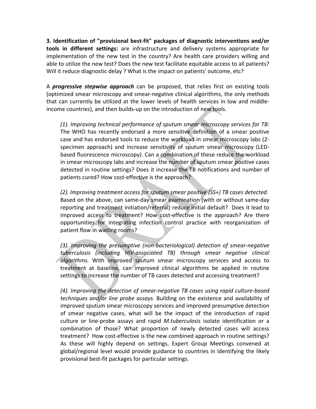**3. Identification of "provisional best‐fit" packages of diagnostic interventions and/or tools in different settings:** are infrastructure and delivery systems appropriate for implementation of the new test in the country? Are health care providers willing and able to utilize the new test? Does the new test facilitate equitable access to all patients? Will it reduce diagnostic delay ? What is the impact on patients' outcome, etc?

A *progressive stepwise approach* can be proposed, that relies first on existing tools (optimized smear microscopy and smear‐negative clinical algorithms, the only methods that can currently be utilized at the lower levels of health services in low and middle‐ income countries), and then builds‐up on the introduction of new tools.

*(1). Improving technical performance of sputum smear microscopy services for TB:* The WHO has recently endorsed a more sensitive definition of a smear positive case and has endorsed tools to reduce the workload in smear microscopy labs (2‐ specimen approach) and increase sensitivity of sputum smear microscopy (LED‐ based fluorescence microscopy). Can a combination of these reduce the workload in smear microscopy labs and increase the number of sputum smear positive cases detected in routine settings? Does it increase the TB notifications and number of patients cured? How cost-effective is the approach?

*(2). Improving treatment access for sputum smear positive (SS+) TB cases detected.* Based on the above, can same‐day smear examination (with or without same‐day reporting and treatment initiation/referral) reduce initial default? Does it lead to improved access to treatment? How cost-effective is the approach? Are there opportunities for integrating infection control practice with reorganization of patient flow in waiting rooms?

*(3). Improving the presumptive (non‐bacteriological) detection of smear‐negative tuberculosis (including HIV‐associated TB) through smear negative clinical algorithms.* With improved sputum smear microscopy services and access to treatment at baseline, can improved clinical algorithms be applied in routine settings to increase the number of TB cases detected and accessing treatment?

*(4). Improving the detection of smear‐negative TB cases using rapid culture‐based techniques and/or line probe assays.* Building on the existence and availability of improved sputum smear microscopy services and improved presumptive detection of smear negative cases, what will be the impact of the introduction of rapid culture or line‐probe assays and rapid *M.tuberculosis* isolate identification or a combination of those? What proportion of newly detected cases will access treatment? How cost-effective is the new combined approach in routine settings? As these will highly depend on settings, Expert Group Meetings convened at global/regional level would provide guidance to countries in identifying the likely provisional best‐fit packages for particular settings.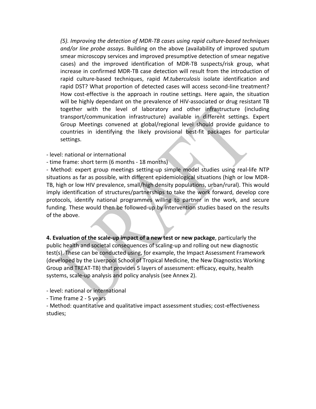*(5). Improving the detection of MDR‐TB cases using rapid culture‐based techniques and/or line probe assays.* Building on the above (availability of improved sputum smear microscopy services and improved presumptive detection of smear negative cases) and the improved identification of MDR‐TB suspects/risk group, what increase in confirmed MDR‐TB case detection will result from the introduction of rapid culture‐based techniques, rapid *M.tuberculosis* isolate identification and rapid DST? What proportion of detected cases will access second‐line treatment? How cost‐effective is the approach in routine settings. Here again, the situation will be highly dependant on the prevalence of HIV-associated or drug resistant TB together with the level of laboratory and other infrastructure (including transport/communication infrastructure) available in different settings. Expert Group Meetings convened at global/regional level should provide guidance to countries in identifying the likely provisional best‐fit packages for particular settings.

#### ‐ level: national or international

‐ time frame: short term (6 months ‐ 18 months)

‐ Method: expert group meetings setting‐up simple model studies using real‐life NTP situations as far as possible, with different epidemiological situations (high or low MDR‐ TB, high or low HIV prevalence, small/high density populations, urban/rural). This would imply identification of structures/partnerships to take the work forward, develop core protocols, identify national programmes willing to partner in the work, and secure funding. These would then be followed‐up by intervention studies based on the results of the above.

**4. Evaluation of the scale‐up impact of a new test or new package**, particularly the public health and societal consequences of scaling‐up and rolling out new diagnostic test(s). These can be conducted using, for example, the Impact Assessment Framework (developed by the Liverpool School of Tropical Medicine, the New Diagnostics Working Group and TREAT‐TB) that provides 5 layers of assessment: efficacy, equity, health systems, scale‐up analysis and policy analysis (see Annex 2).

‐ level: national or international

‐ Time frame 2 ‐ 5 years

‐ Method: quantitative and qualitative impact assessment studies; cost‐effectiveness studies;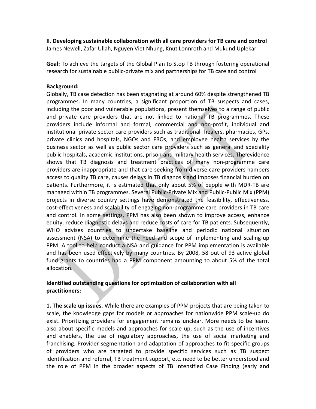**II. Developing sustainable collaboration with all care providers for TB care and control** James Newell, Zafar Ullah, Nguyen Viet Nhung, Knut Lonnroth and Mukund Uplekar

**Goal:** To achieve the targets of the Global Plan to Stop TB through fostering operational research for sustainable public‐private mix and partnerships for TB care and control

#### **Background:**

Globally, TB case detection has been stagnating at around 60% despite strengthened TB programmes. In many countries, a significant proportion of TB suspects and cases, including the poor and vulnerable populations, present themselves to a range of public and private care providers that are not linked to national TB programmes. These providers include informal and formal, commercial and non‐profit, individual and institutional private sector care providers such as traditional healers, pharmacies, GPs, private clinics and hospitals, NGOs and FBOs, and employee health services by the business sector as well as public sector care providers such as general and speciality public hospitals, academic institutions, prison and military health services. The evidence shows that TB diagnosis and treatment practices of many non‐programme care providers are inappropriate and that care seeking from diverse care providers hampers access to quality TB care, causes delays in TB diagnosis and imposes financial burden on patients. Furthermore, it is estimated that only about 5% of people with MDR‐TB are managed within TB programmes. Several Public‐Private Mix and Public‐Public Mix (PPM) projects in diverse country settings have demonstrated the feasibility, effectiveness, cost‐effectiveness and scalability of engaging non‐programme care providers in TB care and control. In some settings, PPM has also been shown to improve access, enhance equity, reduce diagnostic delays and reduce costs of care for TB patients. Subsequently, WHO advises countries to undertake baseline and periodic national situation assessment (NSA) to determine the need and scope of implementing and scaling‐up PPM. A tool to help conduct a NSA and guidance for PPM implementation is available and has been used effectively by many countries. By 2008, 58 out of 93 active global fund grants to countries had a PPM component amounting to about 5% of the total allocation.

# **Identified outstanding questions for optimization of collaboration with all practitioners:**

**1. The scale up issues.** While there are examples of PPM projects that are being taken to scale, the knowledge gaps for models or approaches for nationwide PPM scale‐up do exist. Prioritizing providers for engagement remains unclear. More needs to be learnt also about specific models and approaches for scale up, such as the use of incentives and enablers, the use of regulatory approaches, the use of social marketing and franchising. Provider segmentation and adaptation of approaches to fit specific groups of providers who are targeted to provide specific services such as TB suspect identification and referral, TB treatment support, etc. need to be better understood and the role of PPM in the broader aspects of TB Intensified Case Finding (early and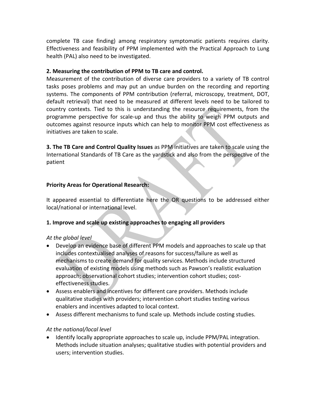complete TB case finding) among respiratory symptomatic patients requires clarity. Effectiveness and feasibility of PPM implemented with the Practical Approach to Lung health (PAL) also need to be investigated.

## **2. Measuring the contribution of PPM to TB care and control.**

Measurement of the contribution of diverse care providers to a variety of TB control tasks poses problems and may put an undue burden on the recording and reporting systems. The components of PPM contribution (referral, microscopy, treatment, DOT, default retrieval) that need to be measured at different levels need to be tailored to country contexts. Tied to this is understanding the resource requirements, from the programme perspective for scale‐up and thus the ability to weigh PPM outputs and outcomes against resource inputs which can help to monitor PPM cost effectiveness as initiatives are taken to scale.

**3. The TB Care and Control Quality Issues** as PPM initiatives are taken to scale using the International Standards of TB Care as the yardstick and also from the perspective of the patient

## **Priority Areas for Operational Research:**

It appeared essential to differentiate here the OR questions to be addressed either local/national or international level.

## **1. Improve and scale up existing approaches to engaging all providers**

#### *At the global level*

- Develop an evidence base of different PPM models and approaches to scale up that includes contextualised analyses of reasons for success/failure as well as mechanisms to create demand for quality services. Methods include structured evaluation of existing models using methods such as Pawson's realistic evaluation approach; observational cohort studies; intervention cohort studies; cost‐ effectiveness studies.
- Assess enablers and incentives for different care providers. Methods include qualitative studies with providers; intervention cohort studies testing various enablers and incentives adapted to local context.
- Assess different mechanisms to fund scale up. Methods include costing studies.

## *At the national/local level*

 Identify locally appropriate approaches to scale up, include PPM/PAL integration. Methods include situation analyses; qualitative studies with potential providers and users; intervention studies.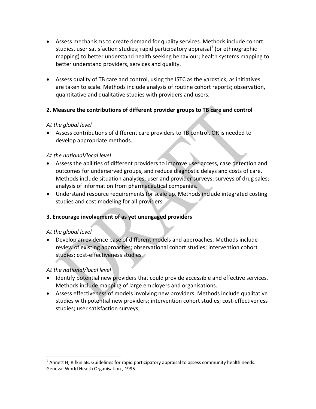- Assess mechanisms to create demand for quality services. Methods include cohort studies, user satisfaction studies; rapid participatory appraisal<sup>1</sup> (or ethnographic mapping) to better understand health seeking behaviour; health systems mapping to better understand providers, services and quality.
- Assess quality of TB care and control, using the ISTC as the yardstick, as initiatives are taken to scale. Methods include analysis of routine cohort reports; observation, quantitative and qualitative studies with providers and users.

# **2. Measure the contributions of different provider groups to TB care and control**

## *At the global level*

 Assess contributions of different care providers to TB control. OR is needed to develop appropriate methods.

## *At the national/local level*

- Assess the abilities of different providers to improve user access, case detection and outcomes for underserved groups, and reduce diagnostic delays and costs of care. Methods include situation analyses; user and provider surveys; surveys of drug sales; analysis of information from pharmaceutical companies.
- Understand resource requirements for scale up. Methods include integrated costing studies and cost modeling for all providers.

# **3. Encourage involvement of as yet unengaged providers**

## *At the global level*

 $\overline{a}$ 

 Develop an evidence base of different models and approaches. Methods include review of existing approaches; observational cohort studies; intervention cohort studies; cost-effectiveness studies.

## *At the national/local level*

- Identify potential new providers that could provide accessible and effective services. Methods include mapping of large employers and organisations.
- Assess effectiveness of models involving new providers. Methods include qualitative studies with potential new providers; intervention cohort studies; cost-effectiveness studies; user satisfaction surveys;

 $<sup>1</sup>$  Annett H, Rifkin SB. Guidelines for rapid participatory appraisal to assess community health needs.</sup> Geneva: World Health Organisation , 1995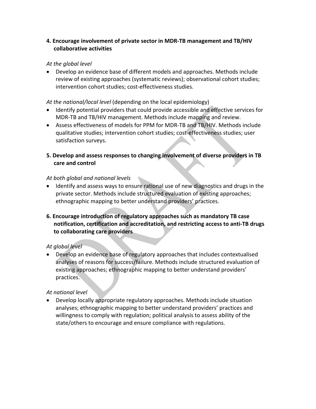# **4. Encourage involvement of private sector in MDR‐TB management and TB/HIV collaborative activities**

## *At the global level*

 Develop an evidence base of different models and approaches. Methods include review of existing approaches (systematic reviews); observational cohort studies; intervention cohort studies; cost-effectiveness studies.

## *At the national/local level* (depending on the local epidemiology)

- Identify potential providers that could provide accessible and effective services for MDR‐TB and TB/HIV management. Methods include mapping and review.
- Assess effectiveness of models for PPM for MDR‐TB and TB/HIV. Methods include qualitative studies; intervention cohort studies; cost‐effectiveness studies; user satisfaction surveys.

## **5. Develop and assess responses to changing involvement of diverse providers in TB care and control**

## *At both global and national levels*

- Identify and assess ways to ensure rational use of new diagnostics and drugs in the private sector. Methods include structured evaluation of existing approaches; ethnographic mapping to better understand providers' practices.
- **6. Encourage introduction of regulatory approaches such as mandatory TB case notification, certification and accreditation, and restricting access to anti‐TB drugs to collaborating care providers**

## *At global level*

 Develop an evidence base of regulatory approaches that includes contextualised analyses of reasons for success/failure. Methods include structured evaluation of existing approaches; ethnographic mapping to better understand providers' practices.

## *At national level*

 Develop locally appropriate regulatory approaches. Methods include situation analyses; ethnographic mapping to better understand providers' practices and willingness to comply with regulation; political analysis to assess ability of the state/others to encourage and ensure compliance with regulations.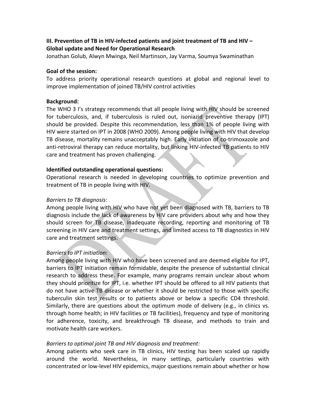# **III. Prevention of TB in HIV‐infected patients and joint treatment of TB and HIV – Global update and Need for Operational Research**

Jonathan Golub, Alwyn Mwinga, Neil Martinson, Jay Varma, Soumya Swaminathan

#### **Goal of the session:**

To address priority operational research questions at global and regional level to improve implementation of joined TB/HIV control activities

#### **Background:**

The WHO 3 I's strategy recommends that all people living with HIV should be screened for tuberculosis, and, if tuberculosis is ruled out, isoniazid preventive therapy (IPT) should be provided. Despite this recommendation, less than 1% of people living with HIV were started on IPT in 2008 (WHO 2009). Among people living with HIV that develop TB disease, mortality remains unacceptably high. Early initiation of co‐trimoxazole and anti-retroviral therapy can reduce mortality, but linking HIV-infected TB patients to HIV care and treatment has proven challenging.

#### **Identified outstanding operational questions:**

Operational research is needed in developing countries to optimize prevention and treatment of TB in people living with HIV.

#### *Barriers to TB diagnosis:*

Among people living with HIV who have not yet been diagnosed with TB, barriers to TB diagnosis include the lack of awareness by HIV care providers about why and how they should screen for TB disease, inadequate recording, reporting and monitoring of TB screening in HIV care and treatment settings, and limited access to TB diagnostics in HIV care and treatment settings.

#### *Barriers to IPT initiation*:

Among people living with HIV who have been screened and are deemed eligible for IPT, barriers to IPT initiation remain formidable, despite the presence of substantial clinical research to address these. For example, many programs remain unclear about whom they should prioritize for IPT, i.e. whether IPT should be offered to all HIV patients that do not have active TB disease or whether it should be restricted to those with specific tuberculin skin test results or to patients above or below a specific CD4 threshold. Similarly, there are questions about the optimum mode of delivery (e.g., in clinics vs. through home health; in HIV facilities or TB facilities), frequency and type of monitoring for adherence, toxicity, and breakthrough TB disease, and methods to train and motivate health care workers.

#### *Barriers to optimal joint TB and HIV diagnosis and treatment:*

Among patients who seek care in TB clinics, HIV testing has been scaled up rapidly around the world. Nevertheless, in many settings, particularly countries with concentrated or low‐level HIV epidemics, major questions remain about whether or how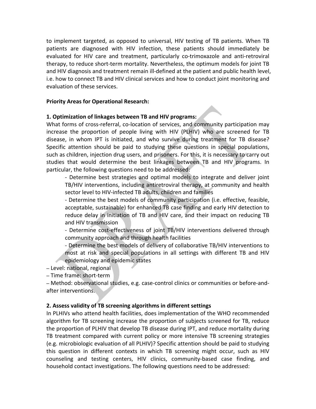to implement targeted, as opposed to universal, HIV testing of TB patients. When TB patients are diagnosed with HIV infection, these patients should immediately be evaluated for HIV care and treatment, particularly co-trimoxazole and anti-retroviral therapy, to reduce short‐term mortality. Nevertheless, the optimum models for joint TB and HIV diagnosis and treatment remain ill-defined at the patient and public health level, i.e. how to connect TB and HIV clinical services and how to conduct joint monitoring and evaluation of these services.

#### **Priority Areas for Operational Research:**

## **1. Optimization of linkages between TB and HIV programs:**

What forms of cross-referral, co-location of services, and community participation may increase the proportion of people living with HIV (PLHIV) who are screened for TB disease, in whom IPT is initiated, and who survive during treatment for TB disease? Specific attention should be paid to studying these questions in special populations, such as children, injection drug users, and prisoners. For this, it is necessary to carry out studies that would determine the best linkages between TB and HIV programs. In particular, the following questions need to be addressed:

‐ Determine best strategies and optimal models to integrate and deliver joint TB/HIV interventions, including antiretroviral therapy, at community and health sector level to HIV‐infected TB adults, children and families

‐ Determine the best models of community participation (i.e. effective, feasible, acceptable, sustainable) for enhanced TB case finding and early HIV detection to reduce delay in initiation of TB and HIV care, and their impact on reducing TB and HIV transmission

‐ Determine cost‐effectiveness of joint TB/HIV interventions delivered through community approach and through health facilities

‐ Determine the best models of delivery of collaborative TB/HIV interventions to most at risk and special populations in all settings with different TB and HIV epidemiology and epidemic states

– Level: national, regional

– Time frame: short‐term

– Method: observational studies, e.g. case‐control clinics or communities or before‐and‐ after interventions.

## **2. Assess validity of TB screening algorithms in different settings**

In PLHIVs who attend health facilities, does implementation of the WHO recommended algorithm for TB screening increase the proportion of subjects screened for TB, reduce the proportion of PLHIV that develop TB disease during IPT, and reduce mortality during TB treatment compared with current policy or more intensive TB screening strategies (e.g. microbiologic evaluation of all PLHIV)? Specific attention should be paid to studying this question in different contexts in which TB screening might occur, such as HIV counseling and testing centers, HIV clinics, community‐based case finding, and household contact investigations. The following questions need to be addressed: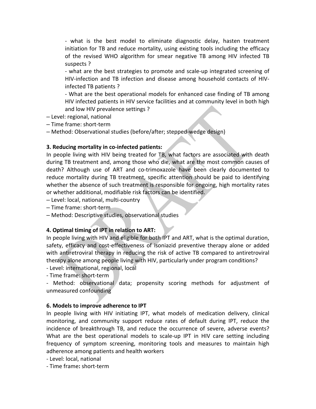‐ what is the best model to eliminate diagnostic delay, hasten treatment initiation for TB and reduce mortality, using existing tools including the efficacy of the revised WHO algorithm for smear negative TB among HIV infected TB suspects ?

‐ what are the best strategies to promote and scale‐up integrated screening of HIV‐infection and TB infection and disease among household contacts of HIV‐ infected TB patients ?

‐ What are the best operational models for enhanced case finding of TB among HIV infected patients in HIV service facilities and at community level in both high and low HIV prevalence settings ?

– Level: regional, national

– Time frame: short‐term

– Method: Observational studies (before/after; stepped‐wedge design)

## **3. Reducing mortality in co‐infected patients:**

In people living with HIV being treated for TB, what factors are associated with death during TB treatment and, among those who die, what are the most common causes of death? Although use of ART and co-trimoxazole have been clearly documented to reduce mortality during TB treatment, specific attention should be paid to identifying whether the absence of such treatment is responsible for ongoing, high mortality rates or whether additional, modifiable risk factors can be identified.

– Level: local, national, multi‐country

– Time frame: short‐term

– Method: Descriptive studies, observational studies

## **4. Optimal timing of IPT in relation to ART:**

In people living with HIV and eligible for both IPT and ART, what is the optimal duration, safety, efficacy and cost-effectiveness of isoniazid preventive therapy alone or added with antiretroviral therapy in reducing the risk of active TB compared to antiretroviral therapy alone among people living with HIV, particularly under program conditions?

‐ Level: international, regional, local

‐ Time frame: short‐term

- Method: observational data; propensity scoring methods for adjustment of unmeasured confounding

#### **6. Models to improve adherence to IPT**

In people living with HIV initiating IPT, what models of medication delivery, clinical monitoring, and community support reduce rates of default during IPT, reduce the incidence of breakthrough TB, and reduce the occurrence of severe, adverse events? What are the best operational models to scale-up IPT in HIV care setting including frequency of symptom screening, monitoring tools and measures to maintain high adherence among patients and health workers

‐ Level: local, national

‐ Time frame**:** short‐term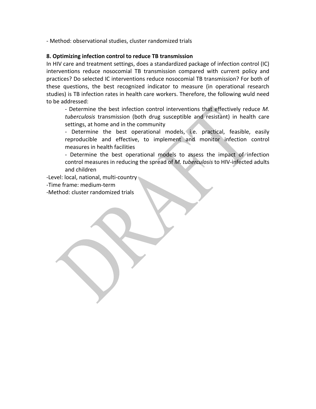‐ Method: observational studies, cluster randomized trials

## **8. Optimizing infection control to reduce TB transmission**

In HIV care and treatment settings, does a standardized package of infection control (IC) interventions reduce nosocomial TB transmission compared with current policy and practices? Do selected IC interventions reduce nosocomial TB transmission? For both of these questions, the best recognized indicator to measure (in operational research studies) is TB infection rates in health care workers. Therefore, the following wuld need to be addressed:

‐ Determine the best infection control interventions that effectively reduce *M. tuberculosis* transmission (both drug susceptible and resistant) in health care settings, at home and in the community

‐ Determine the best operational models, i.e. practical, feasible, easily reproducible and effective, to implement and monitor infection control measures in health facilities

‐ Determine the best operational models to assess the impact of infection control measures in reducing the spread of *M. tuberculosis* to HIV‐infected adults and children

‐Level: local, national, multi‐country

‐Time frame: medium‐term

‐Method: cluster randomized trials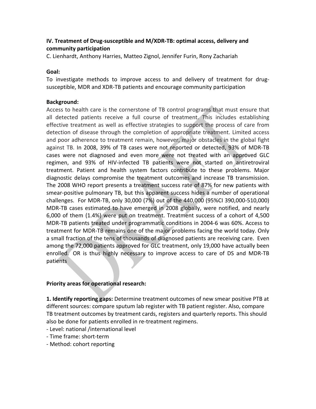# **IV. Treatment of Drug‐susceptible and M/XDR‐TB: optimal access, delivery and community participation**

C. Lienhardt, Anthony Harries, Matteo Zignol, Jennifer Furin, Rony Zachariah

#### **Goal:**

To investigate methods to improve access to and delivery of treatment for drug‐ susceptible, MDR and XDR‐TB patients and encourage community participation

#### **Background:**

Access to health care is the cornerstone of TB control programs that must ensure that all detected patients receive a full course of treatment. This includes establishing effective treatment as well as effective strategies to support the process of care from detection of disease through the completion of appropriate treatment. Limited access and poor adherence to treatment remain, however, major obstacles in the global fight against TB. In 2008, 39% of TB cases were not reported or detected, 93% of MDR‐TB cases were not diagnosed and even more were not treated with an approved GLC regimen, and 93% of HIV‐infected TB patients were not started on antiretroviral treatment. Patient and health system factors contribute to these problems. Major diagnostic delays compromise the treatment outcomes and increase TB transmission. The 2008 WHO report presents a treatment success rate of 87% for new patients with smear‐positive pulmonary TB, but this apparent success hides a number of operational challenges. For MDR‐TB, only 30,000 (7%) out of the 440,000 (95%CI 390,000‐510,000) MDR‐TB cases estimated to have emerged in 2008 globally, were notified, and nearly 6,000 of them (1.4%) were put on treatment. Treatment success of a cohort of 4,500 MDR‐TB patients treated under programmatic conditions in 2004‐6 was 60%. Access to treatment for MDR‐TB remains one of the major problems facing the world today. Only a small fraction of the tens of thousands of diagnosed patients are receiving care. Even among the 72,000 patients approved for GLC treatment, only 19,000 have actually been enrolled. OR is thus highly necessary to improve access to care of DS and MDR-TB patients

## **Priority areas for operational research:**

**1. Identify reporting gaps:** Determine treatment outcomes of new smear positive PTB at different sources: compare sputum lab register with TB patient register. Also, compare TB treatment outcomes by treatment cards, registers and quarterly reports. This should also be done for patients enrolled in re‐treatment regimens.

- ‐ Level: national /international level
- ‐ Time frame: short‐term
- ‐ Method: cohort reporting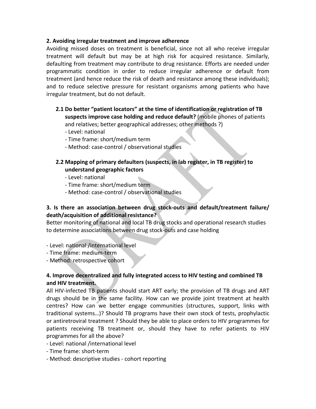#### **2. Avoiding irregular treatment and improve adherence**

Avoiding missed doses on treatment is beneficial, since not all who receive irregular treatment will default but may be at high risk for acquired resistance. Similarly, defaulting from treatment may contribute to drug resistance. Efforts are needed under programmatic condition in order to reduce irregular adherence or default from treatment (and hence reduce the risk of death and resistance among these individuals); and to reduce selective pressure for resistant organisms among patients who have irregular treatment, but do not default.

- **2.1 Do better "patient locators" at the time of identification or registration of TB suspects improve case holding and reduce default?** (mobile phones of patients and relatives; better geographical addresses; other methods ?)
	- ‐ Level: national
	- ‐ Time frame: short/medium term
	- ‐ Method: case‐control / observational studies
- **2.2 Mapping of primary defaulters (suspects, in lab register, in TB register) to understand geographic factors**
	- ‐ Level: national
	- ‐ Time frame: short/medium term
	- ‐ Method: case‐control / observational studies

# **3. Is there an association between drug stock‐outs and default/treatment failure/ death/acquisition of additional resistance?**

Better monitoring of national and local TB drug stocks and operational research studies to determine associations between drug stock‐outs and case holding

- ‐ Level: national /international level
- ‐ Time frame: medium‐term
- ‐ Method: retrospective cohort

## **4. Improve decentralized and fully integrated access to HIV testing and combined TB and HIV treatment.**

All HIV‐infected TB patients should start ART early; the provision of TB drugs and ART drugs should be in the same facility. How can we provide joint treatment at health centres? How can we better engage communities (structures, support, links with traditional systems…)? Should TB programs have their own stock of tests, prophylactic or antiretroviral treatment ? Should they be able to place orders to HIV programmes for patients receiving TB treatment or, should they have to refer patients to HIV programmes for all the above?

- ‐ Level: national /international level
- ‐ Time frame: short‐term
- ‐ Method: descriptive studies ‐ cohort reporting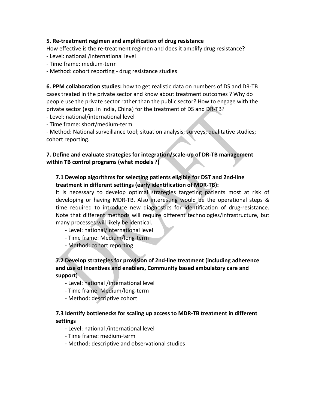#### **5. Re‐treatment regimen and amplification of drug resistance**

How effective is the re-treatment regimen and does it amplify drug resistance?

- ‐ Level: national /international level
- ‐ Time frame: medium‐term
- ‐ Method: cohort reporting ‐ drug resistance studies

**6. PPM collaboration studies:** how to get realistic data on numbers of DS and DR‐TB cases treated in the private sector and know about treatment outcomes ? Why do people use the private sector rather than the public sector? How to engage with the private sector (esp. in India, China) for the treatment of DS and DR‐TB?

- ‐ Level: national/international level
- ‐ Time frame: short/medium‐term

‐ Method: National surveillance tool; situation analysis; surveys; qualitative studies; cohort reporting.

## **7. Define and evaluate strategies for integration/scale‐up of DR‐TB management within TB control programs (what models ?)**

# **7.1 Develop algorithms for selecting patients eligible for DST and 2nd‐line treatment in different settings (early identification of MDR‐TB):**

It is necessary to develop optimal strategies targeting patients most at risk of developing or having MDR‐TB. Also interesting would be the operational steps & time required to introduce new diagnostics for identification of drug‐resistance. Note that different methods will require different technologies/infrastructure, but many processes will likely be identical.

- ‐ Level: national/international level
- ‐ Time frame: Medium/long‐term
- ‐ Method: cohort reporting

## **7.2 Develop strategies for provision of 2nd‐line treatment (including adherence and use of incentives and enablers, Community based ambulatory care and support)**

- ‐ Level: national /international level
- ‐ Time frame: Medium/long‐term
- ‐ Method: descriptive cohort

## **7.3 Identify bottlenecks for scaling up access to MDR‐TB treatment in different settings**

- ‐ Level: national /international level
- ‐ Time frame: medium‐term
- ‐ Method: descriptive and observational studies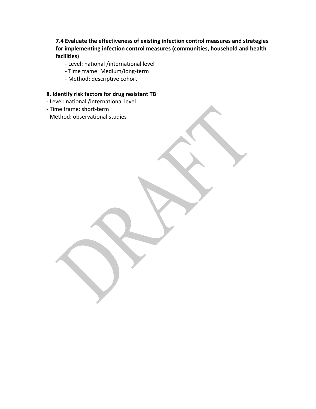**7.4 Evaluate the effectiveness of existing infection control measures and strategies for implementing infection control measures (communities, household and health facilities)**

- ‐ Level: national /international level
- ‐ Time frame: Medium/long‐term
- ‐ Method: descriptive cohort

## **8. Identify risk factors for drug resistant TB**

- ‐ Level: national /international level
- ‐ Time frame: short‐term
- ‐ Method: observational studies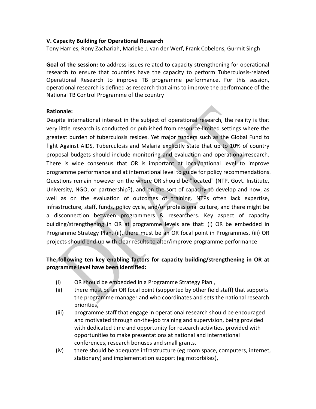#### **V. Capacity Building for Operational Research**

Tony Harries, Rony Zachariah, Marieke J. van der Werf, Frank Cobelens, Gurmit Singh

**Goal of the session:** to address issues related to capacity strengthening for operational research to ensure that countries have the capacity to perform Tuberculosis-related Operational Research to improve TB programme performance. For this session, operational research is defined as research that aims to improve the performance of the National TB Control Programme of the country

#### **Rationale:**

Despite international interest in the subject of operational research, the reality is that very little research is conducted or published from resource‐limited settings where the greatest burden of tuberculosis resides. Yet major funders such as the Global Fund to fight Against AIDS, Tuberculosis and Malaria explicitly state that up to 10% of country proposal budgets should include monitoring and evaluation and operational research. There is wide consensus that OR is important at local/national level to improve programme performance and at international level to guide for policy recommendations. Questions remain however on the where OR should be "located" (NTP, Govt. Institute, University, NGO, or partnership?), and on the sort of capacity to develop and how, as well as on the evaluation of outcomes of training. NTPs often lack expertise, infrastructure, staff, funds, policy cycle, and/or professional culture, and there might be a disconnection between programmers & researchers. Key aspect of capacity building/strengthening in OR at programme levels are that: (i) OR be embedded in Programme Strategy Plan, (ii), there must be an OR focal point in Programmes, (iii) OR projects should end‐up with clear results to alter/improve programme performance

# **The following ten key enabling factors for capacity building/strengthening in OR at programme level have been identified:**

- (i) OR should be embedded in a Programme Strategy Plan ,
- (ii) there must be an OR focal point (supported by other field staff) that supports the programme manager and who coordinates and sets the national research priorities,
- (iii) programme staff that engage in operational research should be encouraged and motivated through on‐the‐job training and supervision, being provided with dedicated time and opportunity for research activities, provided with opportunities to make presentations at national and international conferences, research bonuses and small grants,
- (iv) there should be adequate infrastructure (eg room space, computers, internet, stationary) and implementation support (eg motorbikes),